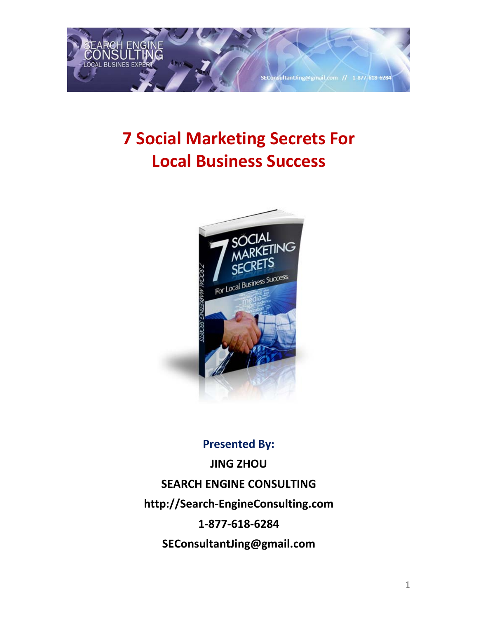

# **7 Social Marketing Secrets For Local Business Success**



## **Presented By: JING ZHOU SEARCH ENGINE CONSULTING http://Search-EngineConsulting.com 1-877-618-6284 SEConsultantJing@gmail.com**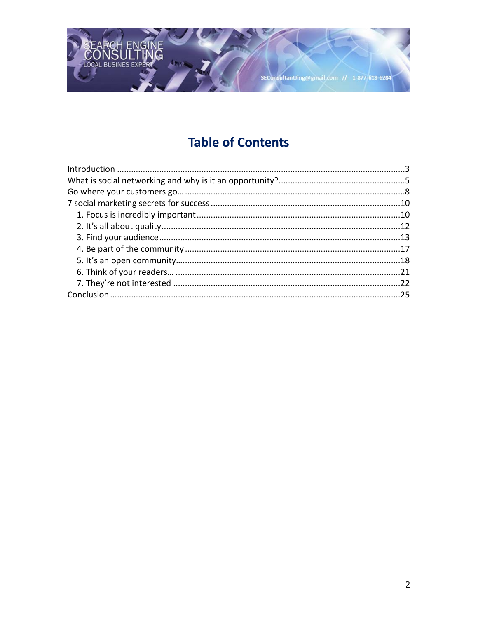

### **Table of Contents**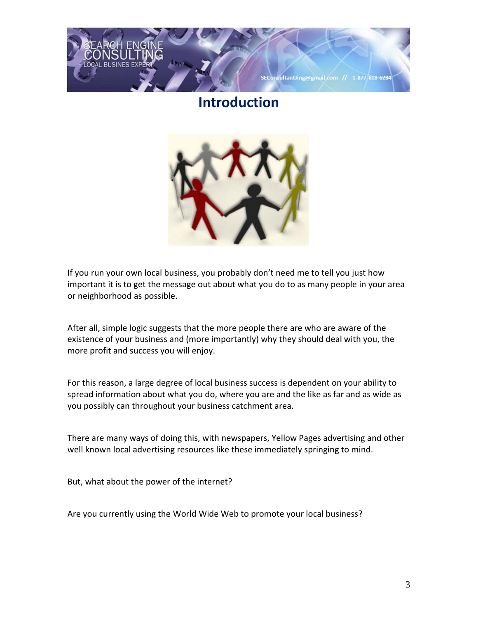<span id="page-2-0"></span>

### **Introduction**



If you run your own local business, you probably don't need me to tell you just how important it is to get the message out about what you do to as many people in your area or neighborhood as possible.

After all, simple logic suggests that the more people there are who are aware of the existence of your business and (more importantly) why they should deal with you, the more profit and success you will enjoy.

For this reason, a large degree of local business success is dependent on your ability to spread information about what you do, where you are and the like as far and as wide as you possibly can throughout your business catchment area.

There are many ways of doing this, with newspapers, Yellow Pages advertising and other well known local advertising resources like these immediately springing to mind.

But, what about the power of the internet?

Are you currently using the World Wide Web to promote your local business?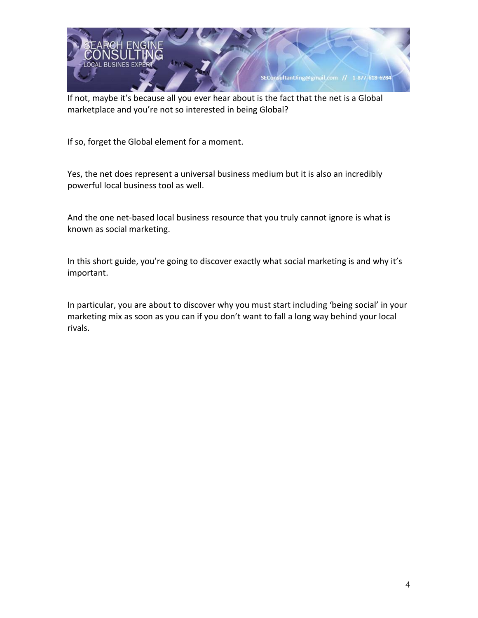

If not, maybe it's because all you ever hear about is the fact that the net is a Global marketplace and you're not so interested in being Global?

If so, forget the Global element for a moment.

Yes, the net does represent a universal business medium but it is also an incredibly powerful local business tool as well.

And the one net-based local business resource that you truly cannot ignore is what is known as social marketing.

In this short guide, you're going to discover exactly what social marketing is and why it's important.

In particular, you are about to discover why you must start including 'being social' in your marketing mix as soon as you can if you don't want to fall a long way behind your local rivals.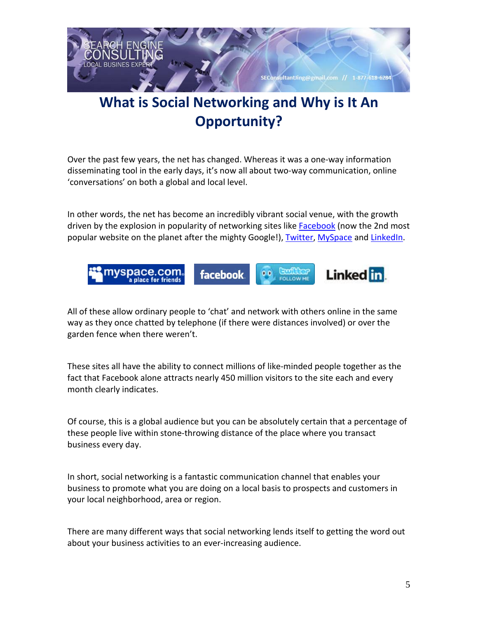

## <span id="page-4-0"></span>**What is Social Networking and Why is It An Opportunity?**

Over the past few years, the net has changed. Whereas it was a one-way information disseminating tool in the early days, it's now all about two-way communication, online 'conversations' on both a global and local level.

In other words, the net has become an incredibly vibrant social venue, with the growth driven by the explosion in popularity of networking sites like [Facebook](http://www.facebook.com/) (now the 2nd most popular website on the planet after the mighty Google!), [Twitter,](http://twitter.com/about) [MySpace](http://www.myspace.com/) and [LinkedIn.](http://www.linkedin.com/)



All of these allow ordinary people to 'chat' and network with others online in the same way as they once chatted by telephone (if there were distances involved) or over the garden fence when there weren't.

These sites all have the ability to connect millions of like-minded people together as the fact that Facebook alone attracts nearly 450 million visitors to the site each and every month clearly indicates.

Of course, this is a global audience but you can be absolutely certain that a percentage of these people live within stone-throwing distance of the place where you transact business every day.

In short, social networking is a fantastic communication channel that enables your business to promote what you are doing on a local basis to prospects and customers in your local neighborhood, area or region.

There are many different ways that social networking lends itself to getting the word out about your business activities to an ever-increasing audience.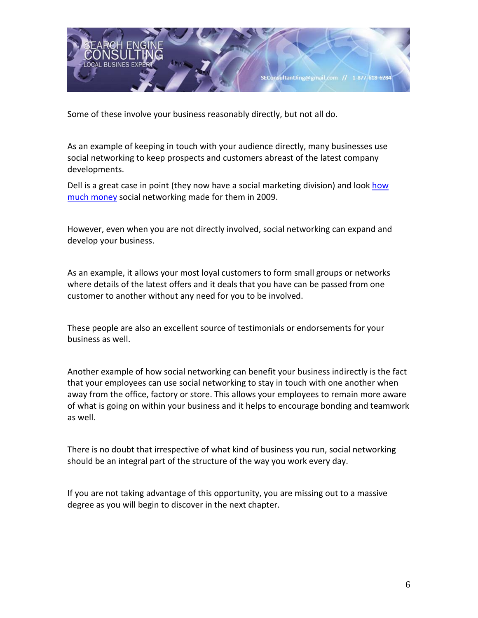

Some of these involve your business reasonably directly, but not all do.

As an example of keeping in touch with your audience directly, many businesses use social networking to keep prospects and customers abreast of the latest company developments.

Dell is a great case in point (they now have a social marketing division) and look how [much money](http://mashable.com/2009/12/08/dell-twitter-sales/) social networking made for them in 2009.

However, even when you are not directly involved, social networking can expand and develop your business.

As an example, it allows your most loyal customers to form small groups or networks where details of the latest offers and it deals that you have can be passed from one customer to another without any need for you to be involved.

These people are also an excellent source of testimonials or endorsements for your business as well.

Another example of how social networking can benefit your business indirectly is the fact that your employees can use social networking to stay in touch with one another when away from the office, factory or store. This allows your employees to remain more aware of what is going on within your business and it helps to encourage bonding and teamwork as well.

There is no doubt that irrespective of what kind of business you run, social networking should be an integral part of the structure of the way you work every day.

If you are not taking advantage of this opportunity, you are missing out to a massive degree as you will begin to discover in the next chapter.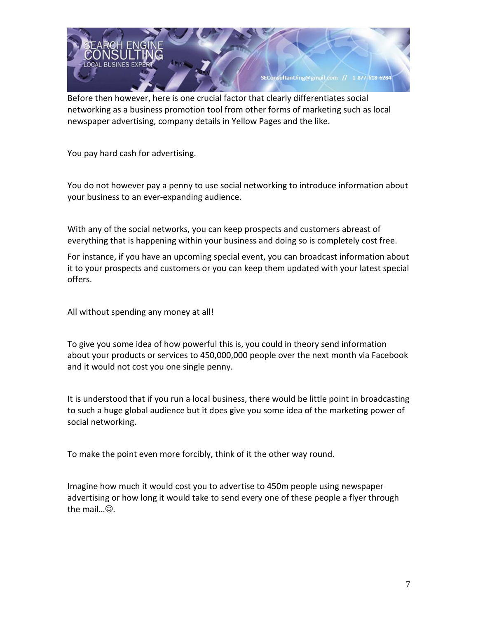

Before then however, here is one crucial factor that clearly differentiates social networking as a business promotion tool from other forms of marketing such as local newspaper advertising, company details in Yellow Pages and the like.

You pay hard cash for advertising.

You do not however pay a penny to use social networking to introduce information about your business to an ever-expanding audience.

With any of the social networks, you can keep prospects and customers abreast of everything that is happening within your business and doing so is completely cost free.

For instance, if you have an upcoming special event, you can broadcast information about it to your prospects and customers or you can keep them updated with your latest special offers.

All without spending any money at all!

To give you some idea of how powerful this is, you could in theory send information about your products or services to 450,000,000 people over the next month via Facebook and it would not cost you one single penny.

It is understood that if you run a local business, there would be little point in broadcasting to such a huge global audience but it does give you some idea of the marketing power of social networking.

To make the point even more forcibly, think of it the other way round.

Imagine how much it would cost you to advertise to 450m people using newspaper advertising or how long it would take to send every one of these people a flyer through the mail $\omega$ .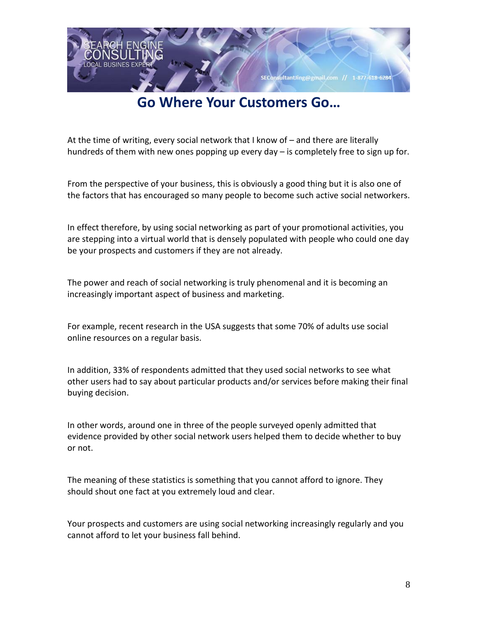

### **Go Where Your Customers Go…**

<span id="page-7-0"></span>At the time of writing, every social network that I know of – and there are literally hundreds of them with new ones popping up every day – is completely free to sign up for.

From the perspective of your business, this is obviously a good thing but it is also one of the factors that has encouraged so many people to become such active social networkers.

In effect therefore, by using social networking as part of your promotional activities, you are stepping into a virtual world that is densely populated with people who could one day be your prospects and customers if they are not already.

The power and reach of social networking is truly phenomenal and it is becoming an increasingly important aspect of business and marketing.

For example, recent research in the USA suggests that some 70% of adults use social online resources on a regular basis.

In addition, 33% of respondents admitted that they used social networks to see what other users had to say about particular products and/or services before making their final buying decision.

In other words, around one in three of the people surveyed openly admitted that evidence provided by other social network users helped them to decide whether to buy or not.

The meaning of these statistics is something that you cannot afford to ignore. They should shout one fact at you extremely loud and clear.

Your prospects and customers are using social networking increasingly regularly and you cannot afford to let your business fall behind.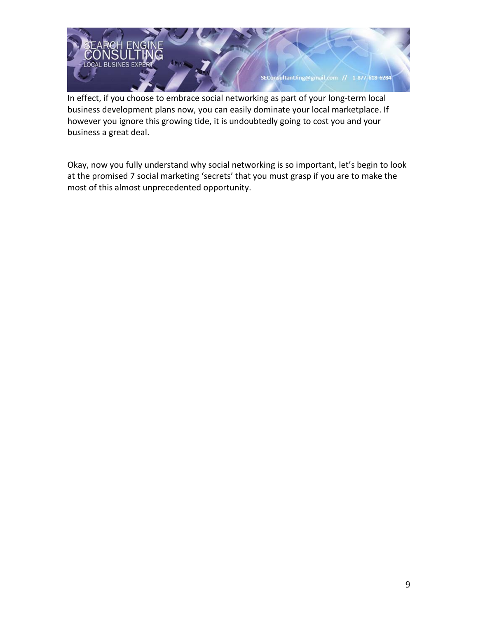

In effect, if you choose to embrace social networking as part of your long-term local business development plans now, you can easily dominate your local marketplace. If however you ignore this growing tide, it is undoubtedly going to cost you and your business a great deal.

Okay, now you fully understand why social networking is so important, let's begin to look at the promised 7 social marketing 'secrets' that you must grasp if you are to make the most of this almost unprecedented opportunity.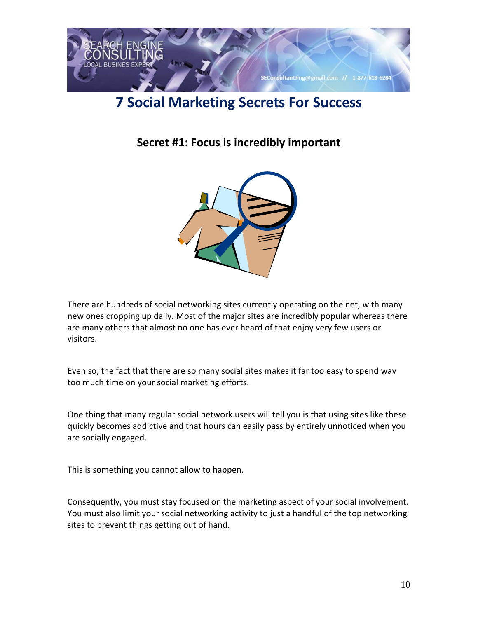

### <span id="page-9-1"></span><span id="page-9-0"></span>**7 Social Marketing Secrets For Success**

**Secret #1: Focus is incredibly important**



There are hundreds of social networking sites currently operating on the net, with many new ones cropping up daily. Most of the major sites are incredibly popular whereas there are many others that almost no one has ever heard of that enjoy very few users or visitors.

Even so, the fact that there are so many social sites makes it far too easy to spend way too much time on your social marketing efforts.

One thing that many regular social network users will tell you is that using sites like these quickly becomes addictive and that hours can easily pass by entirely unnoticed when you are socially engaged.

This is something you cannot allow to happen.

Consequently, you must stay focused on the marketing aspect of your social involvement. You must also limit your social networking activity to just a handful of the top networking sites to prevent things getting out of hand.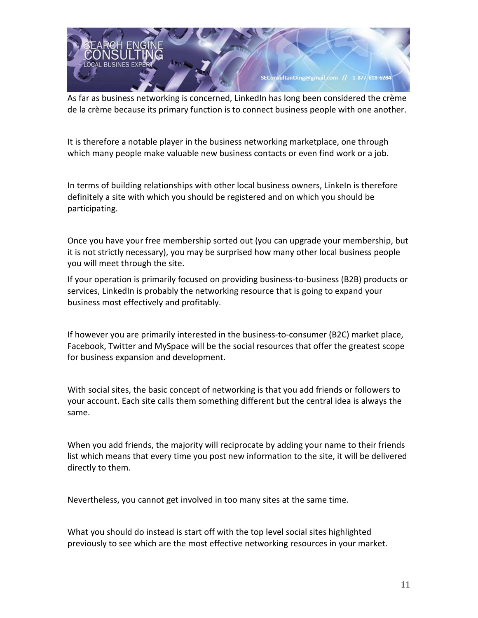

As far as business networking is concerned, LinkedIn has long been considered the crème de la crème because its primary function is to connect business people with one another.

It is therefore a notable player in the business networking marketplace, one through which many people make valuable new business contacts or even find work or a job.

In terms of building relationships with other local business owners, LinkeIn is therefore definitely a site with which you should be registered and on which you should be participating.

Once you have your free membership sorted out (you can upgrade your membership, but it is not strictly necessary), you may be surprised how many other local business people you will meet through the site.

If your operation is primarily focused on providing business-to-business (B2B) products or services, LinkedIn is probably the networking resource that is going to expand your business most effectively and profitably.

If however you are primarily interested in the business-to-consumer (B2C) market place, Facebook, Twitter and MySpace will be the social resources that offer the greatest scope for business expansion and development.

With social sites, the basic concept of networking is that you add friends or followers to your account. Each site calls them something different but the central idea is always the same.

When you add friends, the majority will reciprocate by adding your name to their friends list which means that every time you post new information to the site, it will be delivered directly to them.

Nevertheless, you cannot get involved in too many sites at the same time.

What you should do instead is start off with the top level social sites highlighted previously to see which are the most effective networking resources in your market.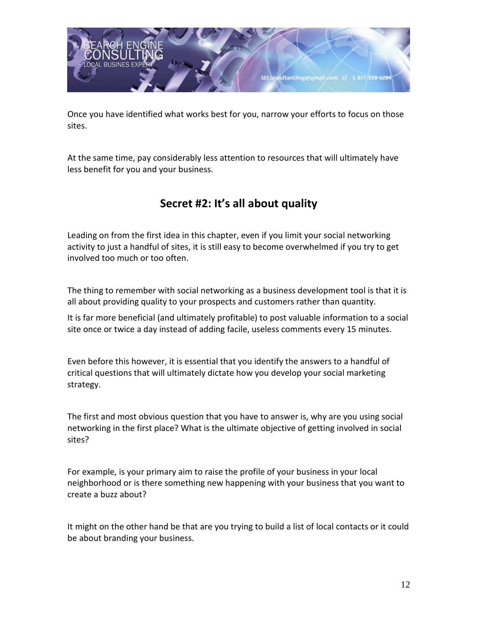

Once you have identified what works best for you, narrow your efforts to focus on those sites.

At the same time, pay considerably less attention to resources that will ultimately have less benefit for you and your business.

#### **Secret #2: It's all about quality**

<span id="page-11-0"></span>Leading on from the first idea in this chapter, even if you limit your social networking activity to just a handful of sites, it is still easy to become overwhelmed if you try to get involved too much or too often.

The thing to remember with social networking as a business development tool is that it is all about providing quality to your prospects and customers rather than quantity.

It is far more beneficial (and ultimately profitable) to post valuable information to a social site once or twice a day instead of adding facile, useless comments every 15 minutes.

Even before this however, it is essential that you identify the answers to a handful of critical questions that will ultimately dictate how you develop your social marketing strategy.

The first and most obvious question that you have to answer is, why are you using social networking in the first place? What is the ultimate objective of getting involved in social sites?

For example, is your primary aim to raise the profile of your business in your local neighborhood or is there something new happening with your business that you want to create a buzz about?

It might on the other hand be that are you trying to build a list of local contacts or it could be about branding your business.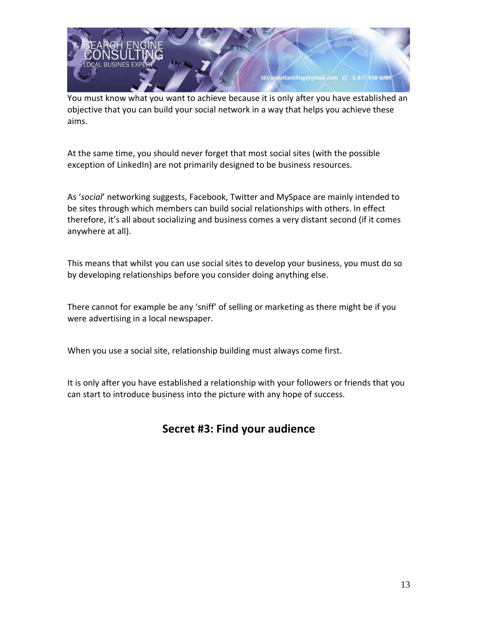

You must know what you want to achieve because it is only after you have established an objective that you can build your social network in a way that helps you achieve these aims.

At the same time, you should never forget that most social sites (with the possible exception of LinkedIn) are not primarily designed to be business resources.

As '*social*' networking suggests, Facebook, Twitter and MySpace are mainly intended to be sites through which members can build social relationships with others. In effect therefore, it's all about socializing and business comes a very distant second (if it comes anywhere at all).

This means that whilst you can use social sites to develop your business, you must do so by developing relationships before you consider doing anything else.

There cannot for example be any 'sniff' of selling or marketing as there might be if you were advertising in a local newspaper.

When you use a social site, relationship building must always come first.

<span id="page-12-0"></span>It is only after you have established a relationship with your followers or friends that you can start to introduce business into the picture with any hope of success.

#### **Secret #3: Find your audience**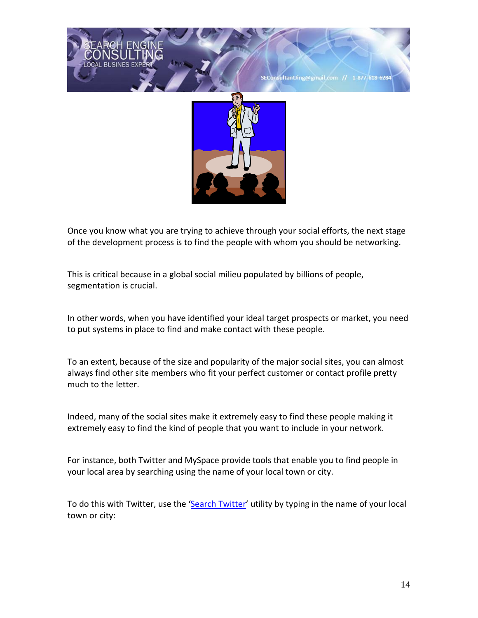

Once you know what you are trying to achieve through your social efforts, the next stage of the development process is to find the people with whom you should be networking.

This is critical because in a global social milieu populated by billions of people, segmentation is crucial.

In other words, when you have identified your ideal target prospects or market, you need to put systems in place to find and make contact with these people.

To an extent, because of the size and popularity of the major social sites, you can almost always find other site members who fit your perfect customer or contact profile pretty much to the letter.

Indeed, many of the social sites make it extremely easy to find these people making it extremely easy to find the kind of people that you want to include in your network.

For instance, both Twitter and MySpace provide tools that enable you to find people in your local area by searching using the name of your local town or city.

To do this with Twitter, use the ['Search Twitter'](http://search.twitter.com/) utility by typing in the name of your local town or city: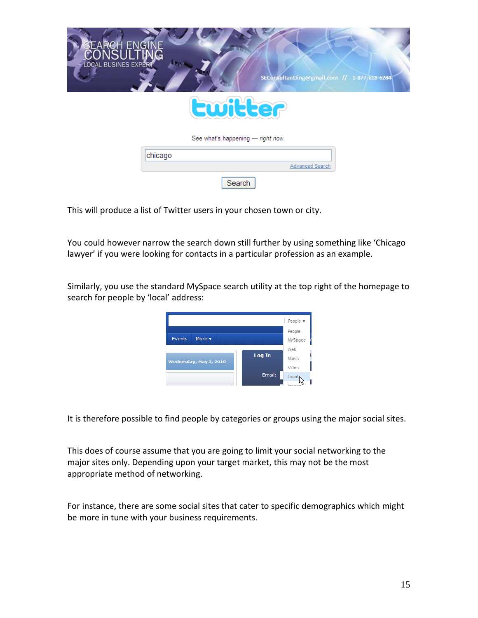

This will produce a list of Twitter users in your chosen town or city.

You could however narrow the search down still further by using something like 'Chicago lawyer' if you were looking for contacts in a particular profession as an example.

Similarly, you use the standard MySpace search utility at the top right of the homepage to search for people by 'local' address:



It is therefore possible to find people by categories or groups using the major social sites.

This does of course assume that you are going to limit your social networking to the major sites only. Depending upon your target market, this may not be the most appropriate method of networking.

For instance, there are some social sites that cater to specific demographics which might be more in tune with your business requirements.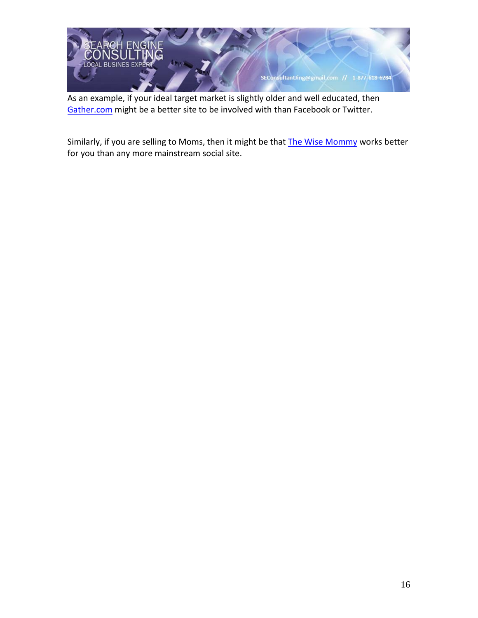

As an example, if your ideal target market is slightly older and well educated, then [Gather.com](http://www.gather.com/) might be a better site to be involved with than Facebook or Twitter.

<span id="page-15-0"></span>Similarly, if you are selling to Moms, then it might be that [The Wise Mommy](http://thewisemommy.com/) works better for you than any more mainstream social site.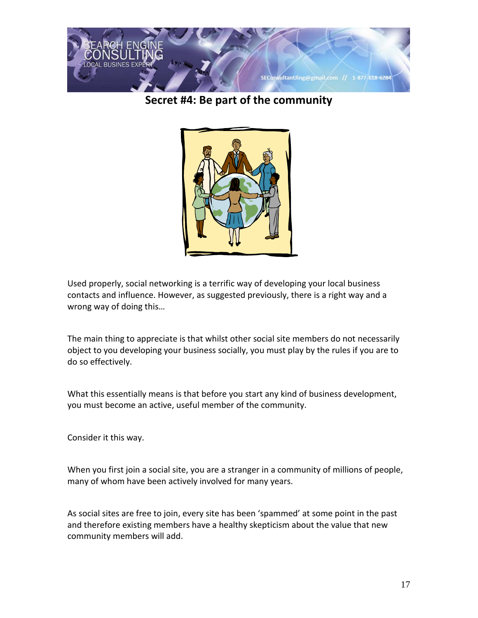

**Secret #4: Be part of the community**



Used properly, social networking is a terrific way of developing your local business contacts and influence. However, as suggested previously, there is a right way and a wrong way of doing this…

The main thing to appreciate is that whilst other social site members do not necessarily object to you developing your business socially, you must play by the rules if you are to do so effectively.

What this essentially means is that before you start any kind of business development, you must become an active, useful member of the community.

Consider it this way.

When you first join a social site, you are a stranger in a community of millions of people, many of whom have been actively involved for many years.

As social sites are free to join, every site has been 'spammed' at some point in the past and therefore existing members have a healthy skepticism about the value that new community members will add.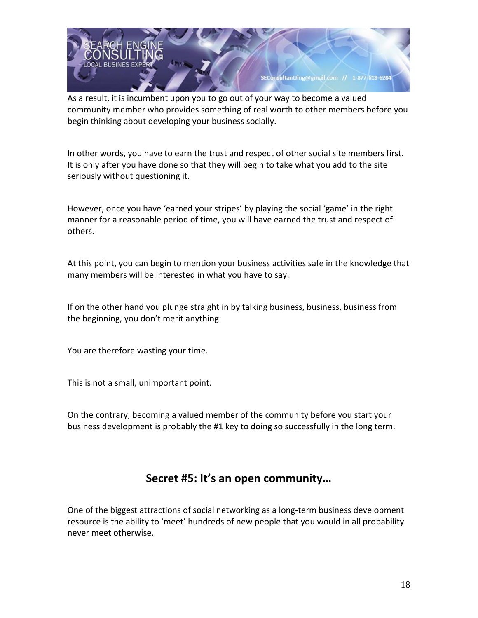

As a result, it is incumbent upon you to go out of your way to become a valued community member who provides something of real worth to other members before you begin thinking about developing your business socially.

In other words, you have to earn the trust and respect of other social site members first. It is only after you have done so that they will begin to take what you add to the site seriously without questioning it.

However, once you have 'earned your stripes' by playing the social 'game' in the right manner for a reasonable period of time, you will have earned the trust and respect of others.

At this point, you can begin to mention your business activities safe in the knowledge that many members will be interested in what you have to say.

If on the other hand you plunge straight in by talking business, business, business from the beginning, you don't merit anything.

You are therefore wasting your time.

This is not a small, unimportant point.

<span id="page-17-0"></span>On the contrary, becoming a valued member of the community before you start your business development is probably the #1 key to doing so successfully in the long term.

#### **Secret #5: It's an open community…**

One of the biggest attractions of social networking as a long-term business development resource is the ability to 'meet' hundreds of new people that you would in all probability never meet otherwise.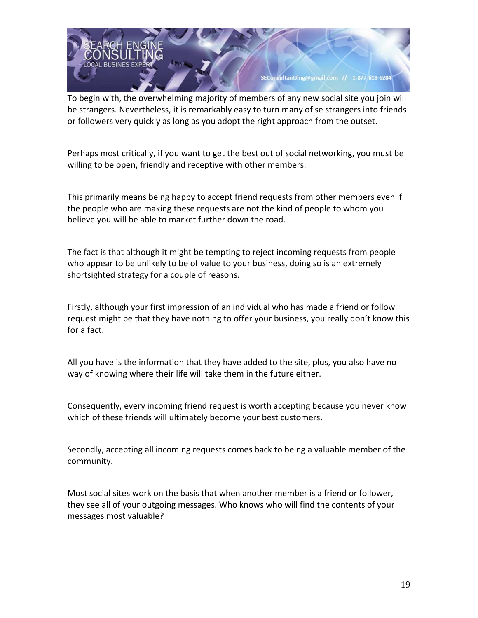

To begin with, the overwhelming majority of members of any new social site you join will be strangers. Nevertheless, it is remarkably easy to turn many of se strangers into friends or followers very quickly as long as you adopt the right approach from the outset.

Perhaps most critically, if you want to get the best out of social networking, you must be willing to be open, friendly and receptive with other members.

This primarily means being happy to accept friend requests from other members even if the people who are making these requests are not the kind of people to whom you believe you will be able to market further down the road.

The fact is that although it might be tempting to reject incoming requests from people who appear to be unlikely to be of value to your business, doing so is an extremely shortsighted strategy for a couple of reasons.

Firstly, although your first impression of an individual who has made a friend or follow request might be that they have nothing to offer your business, you really don't know this for a fact.

All you have is the information that they have added to the site, plus, you also have no way of knowing where their life will take them in the future either.

Consequently, every incoming friend request is worth accepting because you never know which of these friends will ultimately become your best customers.

Secondly, accepting all incoming requests comes back to being a valuable member of the community.

Most social sites work on the basis that when another member is a friend or follower, they see all of your outgoing messages. Who knows who will find the contents of your messages most valuable?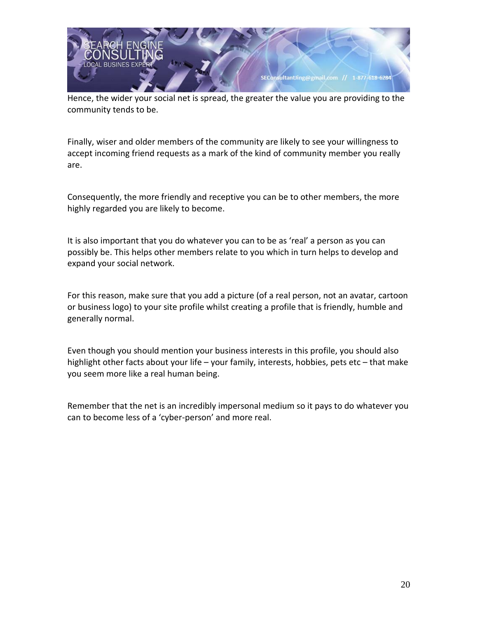

Hence, the wider your social net is spread, the greater the value you are providing to the community tends to be.

Finally, wiser and older members of the community are likely to see your willingness to accept incoming friend requests as a mark of the kind of community member you really are.

Consequently, the more friendly and receptive you can be to other members, the more highly regarded you are likely to become.

It is also important that you do whatever you can to be as 'real' a person as you can possibly be. This helps other members relate to you which in turn helps to develop and expand your social network.

For this reason, make sure that you add a picture (of a real person, not an avatar, cartoon or business logo) to your site profile whilst creating a profile that is friendly, humble and generally normal.

Even though you should mention your business interests in this profile, you should also highlight other facts about your life – your family, interests, hobbies, pets etc – that make you seem more like a real human being.

<span id="page-19-0"></span>Remember that the net is an incredibly impersonal medium so it pays to do whatever you can to become less of a 'cyber-person' and more real.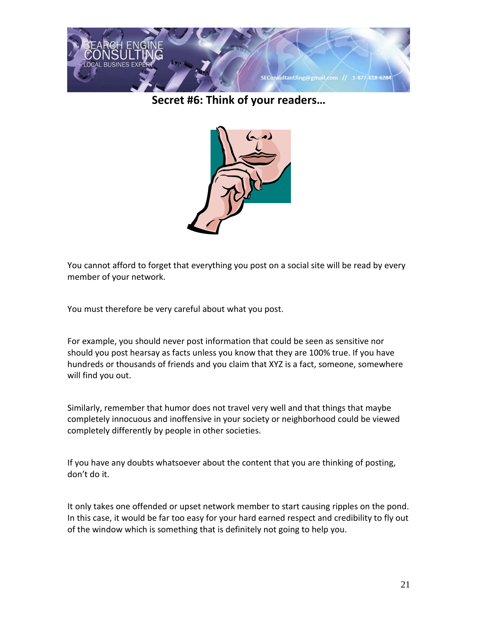

**Secret #6: Think of your readers…**



You cannot afford to forget that everything you post on a social site will be read by every member of your network.

You must therefore be very careful about what you post.

For example, you should never post information that could be seen as sensitive nor should you post hearsay as facts unless you know that they are 100% true. If you have hundreds or thousands of friends and you claim that XYZ is a fact, someone, somewhere will find you out.

Similarly, remember that humor does not travel very well and that things that maybe completely innocuous and inoffensive in your society or neighborhood could be viewed completely differently by people in other societies.

If you have any doubts whatsoever about the content that you are thinking of posting, don't do it.

It only takes one offended or upset network member to start causing ripples on the pond. In this case, it would be far too easy for your hard earned respect and credibility to fly out of the window which is something that is definitely not going to help you.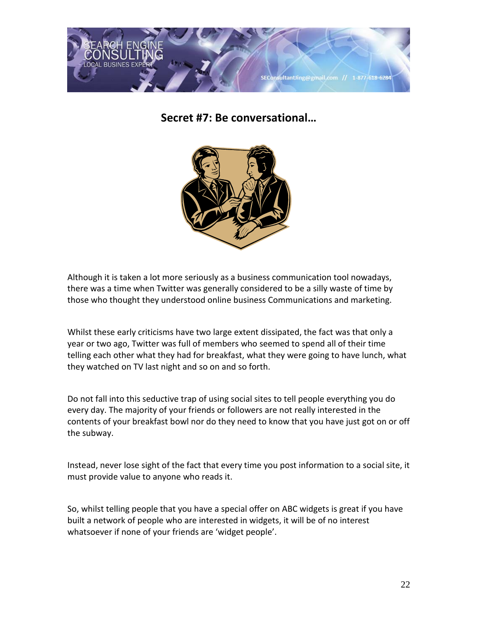<span id="page-21-0"></span>

**Secret #7: Be conversational…**



Although it is taken a lot more seriously as a business communication tool nowadays, there was a time when Twitter was generally considered to be a silly waste of time by those who thought they understood online business Communications and marketing.

Whilst these early criticisms have two large extent dissipated, the fact was that only a year or two ago, Twitter was full of members who seemed to spend all of their time telling each other what they had for breakfast, what they were going to have lunch, what they watched on TV last night and so on and so forth.

Do not fall into this seductive trap of using social sites to tell people everything you do every day. The majority of your friends or followers are not really interested in the contents of your breakfast bowl nor do they need to know that you have just got on or off the subway.

Instead, never lose sight of the fact that every time you post information to a social site, it must provide value to anyone who reads it.

So, whilst telling people that you have a special offer on ABC widgets is great if you have built a network of people who are interested in widgets, it will be of no interest whatsoever if none of your friends are 'widget people'.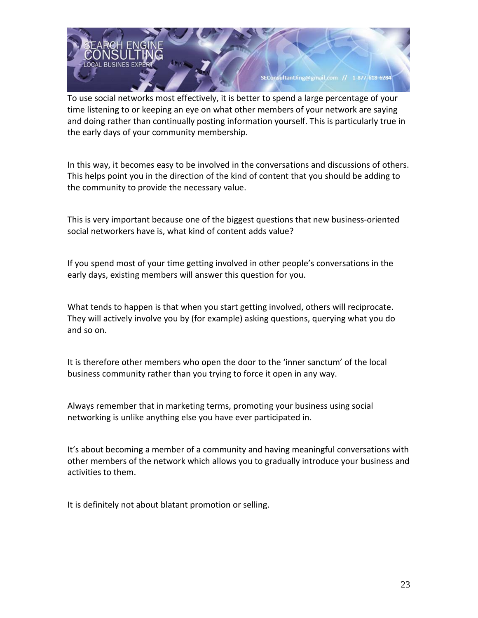

To use social networks most effectively, it is better to spend a large percentage of your time listening to or keeping an eye on what other members of your network are saying and doing rather than continually posting information yourself. This is particularly true in the early days of your community membership.

In this way, it becomes easy to be involved in the conversations and discussions of others. This helps point you in the direction of the kind of content that you should be adding to the community to provide the necessary value.

This is very important because one of the biggest questions that new business-oriented social networkers have is, what kind of content adds value?

If you spend most of your time getting involved in other people's conversations in the early days, existing members will answer this question for you.

What tends to happen is that when you start getting involved, others will reciprocate. They will actively involve you by (for example) asking questions, querying what you do and so on.

It is therefore other members who open the door to the 'inner sanctum' of the local business community rather than you trying to force it open in any way.

Always remember that in marketing terms, promoting your business using social networking is unlike anything else you have ever participated in.

It's about becoming a member of a community and having meaningful conversations with other members of the network which allows you to gradually introduce your business and activities to them.

It is definitely not about blatant promotion or selling.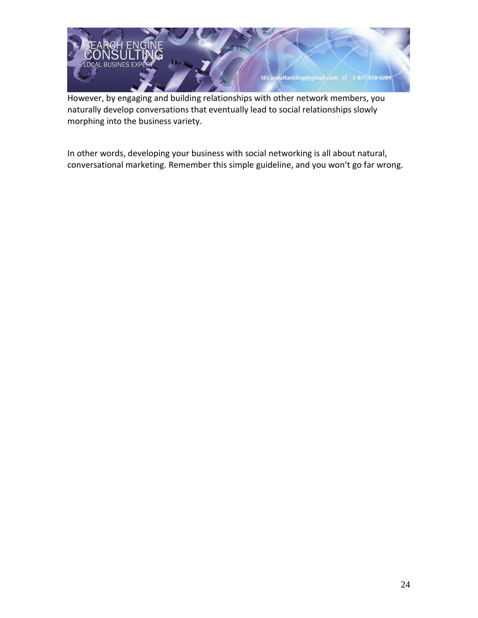

However, by engaging and building relationships with other network members, you naturally develop conversations that eventually lead to social relationships slowly morphing into the business variety.

<span id="page-23-0"></span>In other words, developing your business with social networking is all about natural, conversational marketing. Remember this simple guideline, and you won't go far wrong.